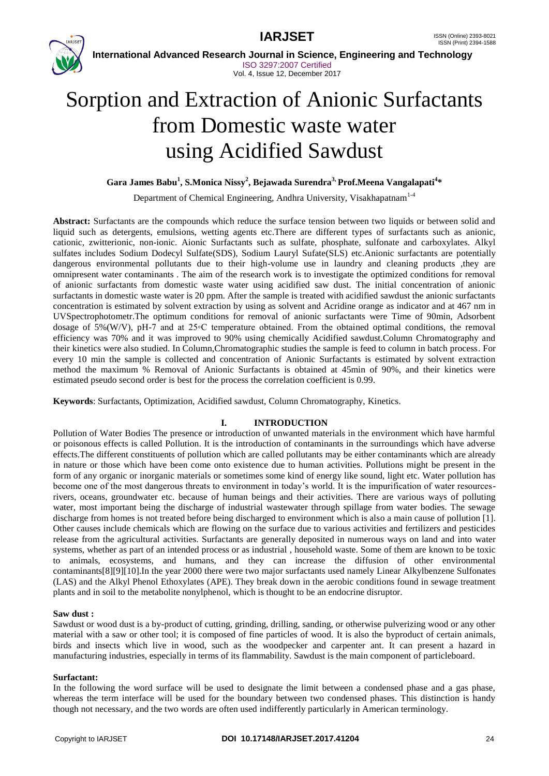



 **International Advanced Research Journal in Science, Engineering and Technology** ISO 3297:2007 Certified Vol. 4, Issue 12, December 2017

# Sorption and Extraction of Anionic Surfactants from Domestic waste water using Acidified Sawdust

**Gara James Babu<sup>1</sup> , S.Monica Nissy<sup>2</sup> , Bejawada Surendra3, Prof.Meena Vangalapati<sup>4</sup> \***

Department of Chemical Engineering, Andhra University, Visakhapatnam<sup>1-4</sup>

**Abstract:** Surfactants are the compounds which reduce the surface tension between two liquids or between solid and liquid such as detergents, emulsions, wetting agents etc.There are different types of surfactants such as anionic, cationic, zwitterionic, non-ionic. Aionic Surfactants such as sulfate, phosphate, sulfonate and carboxylates. Alkyl sulfates includes Sodium Dodecyl Sulfate(SDS), Sodium Lauryl Sufate(SLS) etc.Anionic surfactants are potentially dangerous environmental pollutants due to their high-volume use in laundry and cleaning products ,they are omnipresent water contaminants . The aim of the research work is to investigate the optimized conditions for removal of anionic surfactants from domestic waste water using acidified saw dust. The initial concentration of anionic surfactants in domestic waste water is 20 ppm. After the sample is treated with acidified sawdust the anionic surfactants concentration is estimated by solvent extraction by using as solvent and Acridine orange as indicator and at 467 nm in UVSpectrophotometr.The optimum conditions for removal of anionic surfactants were Time of 90min, Adsorbent dosage of 5%(W/V), pH-7 and at 25◦C temperature obtained. From the obtained optimal conditions, the removal efficiency was 70% and it was improved to 90% using chemically Acidified sawdust.Column Chromatography and their kinetics were also studied. In Column,Chromatographic studies the sample is feed to column in batch process. For every 10 min the sample is collected and concentration of Anionic Surfactants is estimated by solvent extraction method the maximum % Removal of Anionic Surfactants is obtained at 45min of 90%, and their kinetics were estimated pseudo second order is best for the process the correlation coefficient is 0.99.

**Keywords**: Surfactants, Optimization, Acidified sawdust, Column Chromatography, Kinetics.

### **I. INTRODUCTION**

Pollution of Water Bodies The presence or introduction of unwanted materials in the environment which have harmful or poisonous effects is called Pollution. It is the introduction of contaminants in the surroundings which have adverse effects.The different constituents of pollution which are called pollutants may be either contaminants which are already in nature or those which have been come onto existence due to human activities. Pollutions might be present in the form of any organic or inorganic materials or sometimes some kind of energy like sound, light etc. Water pollution has become one of the most dangerous threats to environment in today's world. It is the impurification of water resourcesrivers, oceans, groundwater etc. because of human beings and their activities. There are various ways of polluting water, most important being the discharge of industrial wastewater through spillage from water bodies. The sewage discharge from homes is not treated before being discharged to environment which is also a main cause of pollution [1]. Other causes include chemicals which are flowing on the surface due to various activities and fertilizers and pesticides release from the agricultural activities. Surfactants are generally deposited in numerous ways on land and into water systems, whether as part of an intended process or as industrial , household waste. Some of them are known to be toxic to animals, ecosystems, and humans, and they can increase the diffusion of other environmental contaminants[8][9][10].In the year 2000 there were two major surfactants used namely Linear Alkylbenzene Sulfonates (LAS) and the Alkyl Phenol Ethoxylates (APE). They break down in the aerobic conditions found in sewage treatment plants and in soil to the metabolite nonylphenol, which is thought to be an endocrine disruptor.

### **Saw dust :**

Sawdust or wood dust is a by-product of cutting, grinding, drilling, sanding, or otherwise pulverizing wood or any other material with a saw or other tool; it is composed of fine particles of wood. It is also the byproduct of certain animals, birds and insects which live in wood, such as the woodpecker and carpenter ant. It can present a hazard in manufacturing industries, especially in terms of its flammability. Sawdust is the main component of particleboard.

### **Surfactant:**

In the following the word surface will be used to designate the limit between a condensed phase and a gas phase, whereas the term interface will be used for the boundary between two condensed phases. This distinction is handy though not necessary, and the two words are often used indifferently particularly in American terminology.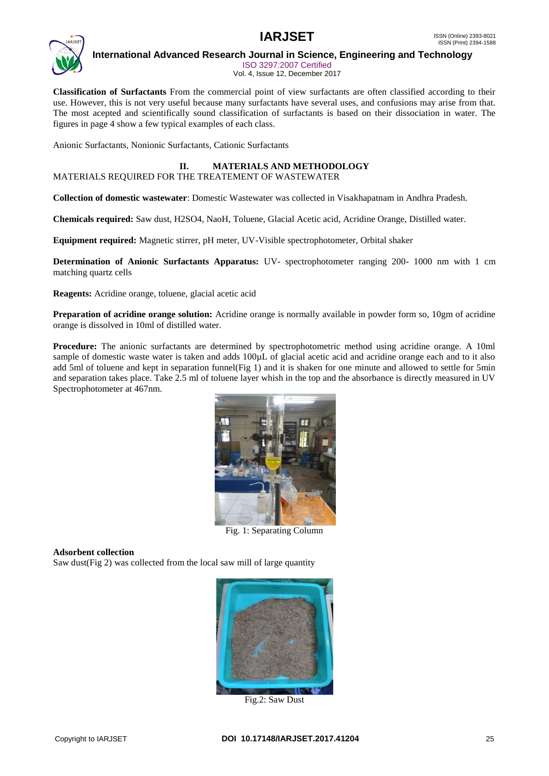

ISO 3297:2007 Certified Vol. 4, Issue 12, December 2017

**Classification of Surfactants** From the commercial point of view surfactants are often classified according to their use. However, this is not very useful because many surfactants have several uses, and confusions may arise from that. The most acepted and scientifically sound classification of surfactants is based on their dissociation in water. The figures in page 4 show a few typical examples of each class.

Anionic Surfactants, Nonionic Surfactants, Cationic Surfactants

# **II. MATERIALS AND METHODOLOGY**

MATERIALS REQUIRED FOR THE TREATEMENT OF WASTEWATER

**Collection of domestic wastewater**: Domestic Wastewater was collected in Visakhapatnam in Andhra Pradesh.

**Chemicals required:** Saw dust, H2SO4, NaoH, Toluene, Glacial Acetic acid, Acridine Orange, Distilled water.

**Equipment required:** Magnetic stirrer, pH meter, UV-Visible spectrophotometer, Orbital shaker

**Determination of Anionic Surfactants Apparatus:** UV- spectrophotometer ranging 200- 1000 nm with 1 cm matching quartz cells

**Reagents:** Acridine orange, toluene, glacial acetic acid

**Preparation of acridine orange solution:** Acridine orange is normally available in powder form so, 10gm of acridine orange is dissolved in 10ml of distilled water.

**Procedure:** The anionic surfactants are determined by spectrophotometric method using acridine orange. A 10ml sample of domestic waste water is taken and adds 100µL of glacial acetic acid and acridine orange each and to it also add 5ml of toluene and kept in separation funnel(Fig 1) and it is shaken for one minute and allowed to settle for 5min and separation takes place. Take 2.5 ml of toluene layer whish in the top and the absorbance is directly measured in UV Spectrophotometer at 467nm.



Fig. 1: Separating Column

### **Adsorbent collection**

Saw dust(Fig 2) was collected from the local saw mill of large quantity



Fig.2: Saw Dust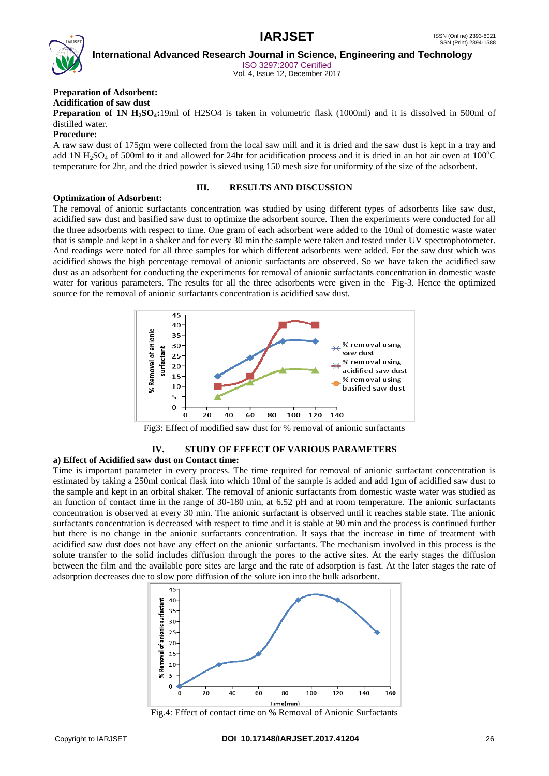

ISO 3297:2007 Certified Vol. 4, Issue 12, December 2017

### **Preparation of Adsorbent:**

**Acidification of saw dust**

**Preparation of 1N H<sub>2</sub>SO<sub>4</sub>:19ml** of H2SO4 is taken in volumetric flask (1000ml) and it is dissolved in 500ml of distilled water.

#### **Procedure:**

A raw saw dust of 175gm were collected from the local saw mill and it is dried and the saw dust is kept in a tray and add 1N  $H_2SO_4$  of 500ml to it and allowed for 24hr for acidification process and it is dried in an hot air oven at 100 $^{\circ}$ C temperature for 2hr, and the dried powder is sieved using 150 mesh size for uniformity of the size of the adsorbent.

### **III. RESULTS AND DISCUSSION**

### **Optimization of Adsorbent:**

The removal of anionic surfactants concentration was studied by using different types of adsorbents like saw dust, acidified saw dust and basified saw dust to optimize the adsorbent source. Then the experiments were conducted for all the three adsorbents with respect to time. One gram of each adsorbent were added to the 10ml of domestic waste water that is sample and kept in a shaker and for every 30 min the sample were taken and tested under UV spectrophotometer. And readings were noted for all three samples for which different adsorbents were added. For the saw dust which was acidified shows the high percentage removal of anionic surfactants are observed. So we have taken the acidified saw dust as an adsorbent for conducting the experiments for removal of anionic surfactants concentration in domestic waste water for various parameters. The results for all the three adsorbents were given in the Fig-3. Hence the optimized source for the removal of anionic surfactants concentration is acidified saw dust.



Fig3: Effect of modified saw dust for % removal of anionic surfactants

# **IV. STUDY OF EFFECT OF VARIOUS PARAMETERS**

### **a) Effect of Acidified saw dust on Contact time:**

Time is important parameter in every process. The time required for removal of anionic surfactant concentration is estimated by taking a 250ml conical flask into which 10ml of the sample is added and add 1gm of acidified saw dust to the sample and kept in an orbital shaker. The removal of anionic surfactants from domestic waste water was studied as an function of contact time in the range of 30-180 min, at 6.52 pH and at room temperature. The anionic surfactants concentration is observed at every 30 min. The anionic surfactant is observed until it reaches stable state. The anionic surfactants concentration is decreased with respect to time and it is stable at 90 min and the process is continued further but there is no change in the anionic surfactants concentration. It says that the increase in time of treatment with acidified saw dust does not have any effect on the anionic surfactants. The mechanism involved in this process is the solute transfer to the solid includes diffusion through the pores to the active sites. At the early stages the diffusion between the film and the available pore sites are large and the rate of adsorption is fast. At the later stages the rate of adsorption decreases due to slow pore diffusion of the solute ion into the bulk adsorbent.



Fig.4: Effect of contact time on % Removal of Anionic Surfactants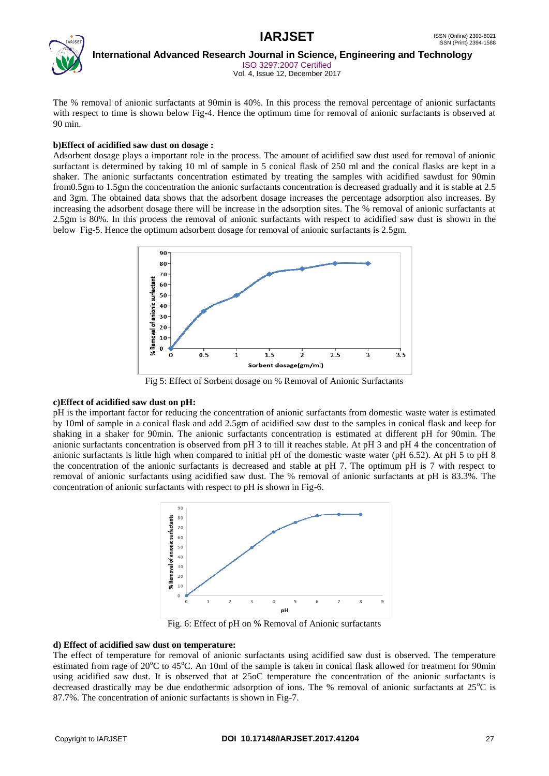

 **International Advanced Research Journal in Science, Engineering and Technology** ISO 3297:2007 Certified

Vol. 4, Issue 12, December 2017

The % removal of anionic surfactants at 90min is 40%. In this process the removal percentage of anionic surfactants with respect to time is shown below Fig-4. Hence the optimum time for removal of anionic surfactants is observed at 90 min.

### **b)Effect of acidified saw dust on dosage :**

Adsorbent dosage plays a important role in the process. The amount of acidified saw dust used for removal of anionic surfactant is determined by taking 10 ml of sample in 5 conical flask of 250 ml and the conical flasks are kept in a shaker. The anionic surfactants concentration estimated by treating the samples with acidified sawdust for 90min from0.5gm to 1.5gm the concentration the anionic surfactants concentration is decreased gradually and it is stable at 2.5 and 3gm. The obtained data shows that the adsorbent dosage increases the percentage adsorption also increases. By increasing the adsorbent dosage there will be increase in the adsorption sites. The % removal of anionic surfactants at 2.5gm is 80%. In this process the removal of anionic surfactants with respect to acidified saw dust is shown in the below Fig-5. Hence the optimum adsorbent dosage for removal of anionic surfactants is 2.5gm.



Fig 5: Effect of Sorbent dosage on % Removal of Anionic Surfactants

### **c)Effect of acidified saw dust on pH:**

pH is the important factor for reducing the concentration of anionic surfactants from domestic waste water is estimated by 10ml of sample in a conical flask and add 2.5gm of acidified saw dust to the samples in conical flask and keep for shaking in a shaker for 90min. The anionic surfactants concentration is estimated at different pH for 90min. The anionic surfactants concentration is observed from pH 3 to till it reaches stable. At pH 3 and pH 4 the concentration of anionic surfactants is little high when compared to initial pH of the domestic waste water (pH 6.52). At pH 5 to pH 8 the concentration of the anionic surfactants is decreased and stable at pH 7. The optimum pH is 7 with respect to removal of anionic surfactants using acidified saw dust. The % removal of anionic surfactants at pH is 83.3%. The concentration of anionic surfactants with respect to pH is shown in Fig-6.



Fig. 6: Effect of pH on % Removal of Anionic surfactants

### **d) Effect of acidified saw dust on temperature:**

The effect of temperature for removal of anionic surfactants using acidified saw dust is observed. The temperature estimated from rage of  $20^{\circ}$ C to  $45^{\circ}$ C. An 10ml of the sample is taken in conical flask allowed for treatment for 90min using acidified saw dust. It is observed that at 25oC temperature the concentration of the anionic surfactants is decreased drastically may be due endothermic adsorption of ions. The % removal of anionic surfactants at  $25^{\circ}$ C is 87.7%. The concentration of anionic surfactants is shown in Fig-7.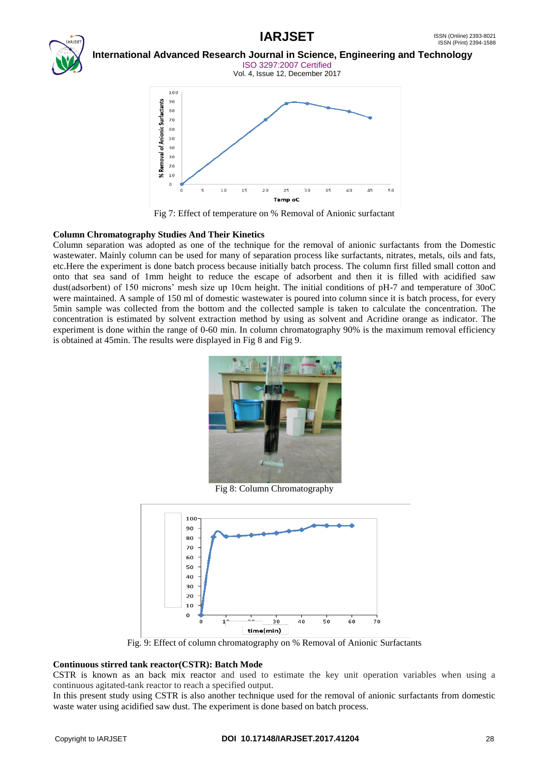# **IARJSET** ISSN (Online) 2393-8021



# **International Advanced Research Journal in Science, Engineering and Technology** ISO 3297:2007 Certified

Vol. 4, Issue 12, December 2017



Fig 7: Effect of temperature on % Removal of Anionic surfactant

### **Column Chromatography Studies And Their Kinetics**

Column separation was adopted as one of the technique for the removal of anionic surfactants from the Domestic wastewater. Mainly column can be used for many of separation process like surfactants, nitrates, metals, oils and fats, etc.Here the experiment is done batch process because initially batch process. The column first filled small cotton and onto that sea sand of 1mm height to reduce the escape of adsorbent and then it is filled with acidified saw dust(adsorbent) of 150 microns' mesh size up 10cm height. The initial conditions of pH-7 and temperature of 30oC were maintained. A sample of 150 ml of domestic wastewater is poured into column since it is batch process, for every 5min sample was collected from the bottom and the collected sample is taken to calculate the concentration. The concentration is estimated by solvent extraction method by using as solvent and Acridine orange as indicator. The experiment is done within the range of 0-60 min. In column chromatography 90% is the maximum removal efficiency is obtained at 45min. The results were displayed in Fig 8 and Fig 9.



Fig 8: Column Chromatography



Fig. 9: Effect of column chromatography on % Removal of Anionic Surfactants

### **Continuous stirred tank reactor(CSTR): Batch Mode**

CSTR is known as an back mix reactor and used to estimate the key unit operation variables when using a continuous agitated-tank reactor to reach a specified output.

In this present study using CSTR is also another technique used for the removal of anionic surfactants from domestic waste water using acidified saw dust. The experiment is done based on batch process.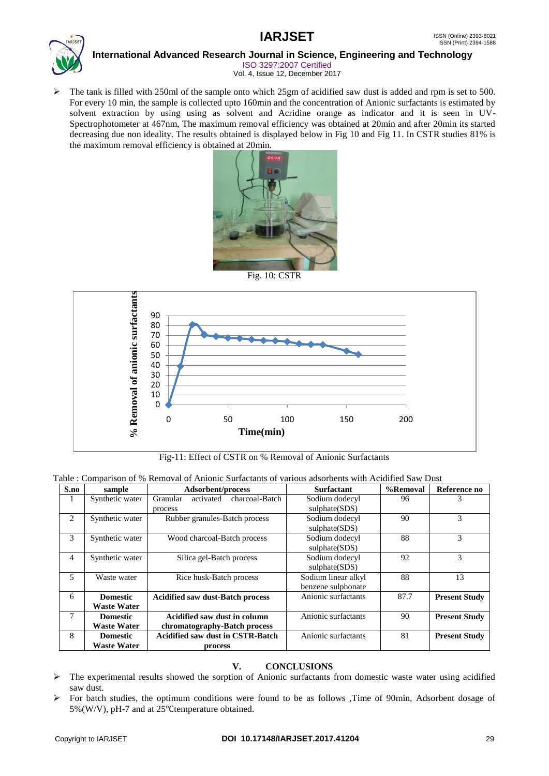

ISO 3297:2007 Certified Vol. 4, Issue 12, December 2017

 $\triangleright$  The tank is filled with 250ml of the sample onto which 25gm of acidified saw dust is added and rpm is set to 500. For every 10 min, the sample is collected upto 160min and the concentration of Anionic surfactants is estimated by solvent extraction by using using as solvent and Acridine orange as indicator and it is seen in UV-Spectrophotometer at 467nm, The maximum removal efficiency was obtained at 20min and after 20min its started decreasing due non ideality. The results obtained is displayed below in Fig 10 and Fig 11. In CSTR studies 81% is the maximum removal efficiency is obtained at 20min.



Fig. 10: CSTR



Fig-11: Effect of CSTR on % Removal of Anionic Surfactants

|  |  |  |  |  | Table : Comparison of % Removal of Anionic Surfactants of various adsorbents with Acidified Saw Dust |  |
|--|--|--|--|--|------------------------------------------------------------------------------------------------------|--|
|  |  |  |  |  |                                                                                                      |  |

| S.no           | sample             | Adsorbent/process                       | <b>Surfactant</b>   | %Removal | Reference no         |
|----------------|--------------------|-----------------------------------------|---------------------|----------|----------------------|
| $\mathbf{r}$   | Synthetic water    | activated<br>charcoal-Batch<br>Granular | Sodium dodecyl      | 96       | 3                    |
|                |                    | process                                 | sulphate(SDS)       |          |                      |
| 2              | Synthetic water    | Rubber granules-Batch process           | Sodium dodecyl      | 90       | 3                    |
|                |                    |                                         | sulphate(SDS)       |          |                      |
| 3              | Synthetic water    | Wood charcoal-Batch process             | Sodium dodecyl      | 88       | 3                    |
|                |                    |                                         | sulphate(SDS)       |          |                      |
| $\overline{4}$ | Synthetic water    | Silica gel-Batch process                | Sodium dodecyl      | 92       | 3                    |
|                |                    |                                         | sulphate(SDS)       |          |                      |
| 5              | Waste water        | Rice husk-Batch process                 | Sodium linear alkyl | 88       | 13                   |
|                |                    |                                         | benzene sulphonate  |          |                      |
| 6              | <b>Domestic</b>    | <b>Acidified saw dust-Batch process</b> | Anionic surfactants | 87.7     | <b>Present Study</b> |
|                | <b>Waste Water</b> |                                         |                     |          |                      |
| 7              | <b>Domestic</b>    | Acidified saw dust in column            | Anionic surfactants | 90       | <b>Present Study</b> |
|                | <b>Waste Water</b> | chromatography-Batch process            |                     |          |                      |
| 8              | <b>Domestic</b>    | <b>Acidified saw dust in CSTR-Batch</b> | Anionic surfactants | 81       | <b>Present Study</b> |
|                | <b>Waste Water</b> | process                                 |                     |          |                      |

## **V. CONCLUSIONS**

- $\triangleright$  The experimental results showed the sorption of Anionic surfactants from domestic waste water using acidified saw dust.
- $\triangleright$  For batch studies, the optimum conditions were found to be as follows ,Time of 90min, Adsorbent dosage of 5%(W/V), pH-7 and at 25℃temperature obtained.